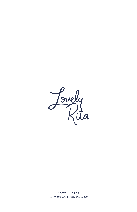

LOVELY RITA 4 NW 15th Ave, Portland OR, 97209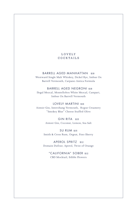#### **LOVELY** COCKTAILS

#### BARRELL AGED MANHATTAN \$18

Westward Single Malt Whiskey, Dickel Rye, Imbue Ox Barrell Vermouth, Carpano Antica Formula

# BARRELL AGED NEGRONI \$18

Ilegal Mezcal, Montellobos White Mezcal, Campari, Imbue Ox Barrell Vermouth

#### LOVELY MARTINI \$16

Aimsir Gin, Interobang Vermouth, Rogue Creamery "Smokey Blue" Cheese Stuffed Olive

> GIN RITA \$15 Aimsir Gin, Coconut, Lemon, Sea Salt

SU RUM \$15 Smith & Cross Rum, Orgeat, Fino Sherry

APEROL SPRITZ \$12 Domain Dufour, Aperol, Twist of Orange

> "CALIFORNIA" SOBER \$12 CBD Mocktail, Edible Flowers